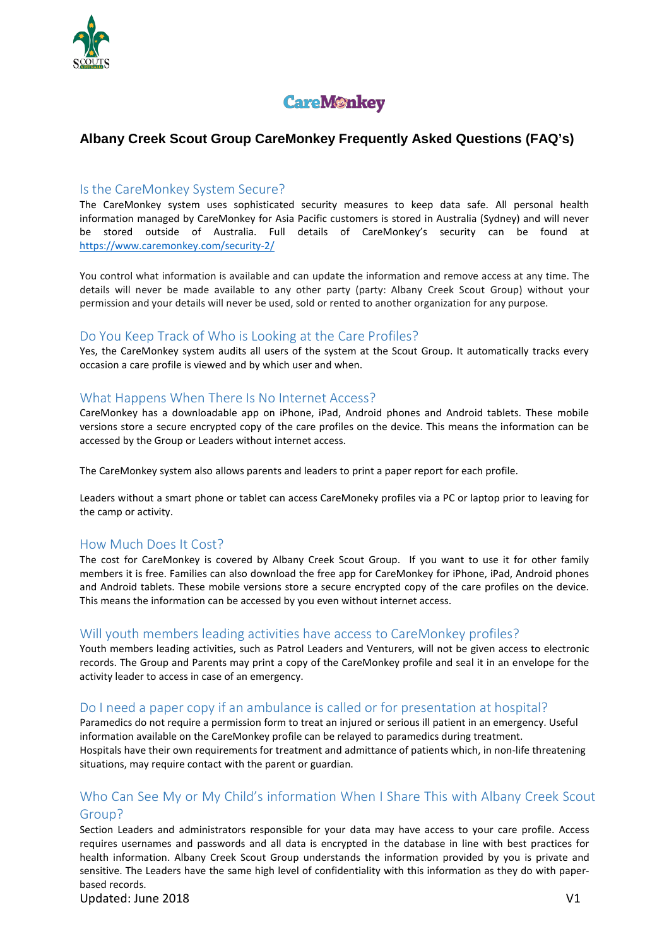



# **Albany Creek Scout Group CareMonkey Frequently Asked Questions (FAQ's)**

#### Is the CareMonkey System Secure?

The CareMonkey system uses sophisticated security measures to keep data safe. All personal health information managed by CareMonkey for Asia Pacific customers is stored in Australia (Sydney) and will never be stored outside of Australia. Full details of CareMonkey's security can be found at <https://www.caremonkey.com/security-2/>

You control what information is available and can update the information and remove access at any time. The details will never be made available to any other party (party: Albany Creek Scout Group) without your permission and your details will never be used, sold or rented to another organization for any purpose.

#### Do You Keep Track of Who is Looking at the Care Profiles?

Yes, the CareMonkey system audits all users of the system at the Scout Group. It automatically tracks every occasion a care profile is viewed and by which user and when.

#### What Happens When There Is No Internet Access?

CareMonkey has a downloadable app on iPhone, iPad, Android phones and Android tablets. These mobile versions store a secure encrypted copy of the care profiles on the device. This means the information can be accessed by the Group or Leaders without internet access.

The CareMonkey system also allows parents and leaders to print a paper report for each profile.

Leaders without a smart phone or tablet can access CareMoneky profiles via a PC or laptop prior to leaving for the camp or activity.

#### How Much Does It Cost?

The cost for CareMonkey is covered by Albany Creek Scout Group. If you want to use it for other family members it is free. Families can also download the free app for CareMonkey for iPhone, iPad, Android phones and Android tablets. These mobile versions store a secure encrypted copy of the care profiles on the device. This means the information can be accessed by you even without internet access.

#### Will youth members leading activities have access to CareMonkey profiles?

Youth members leading activities, such as Patrol Leaders and Venturers, will not be given access to electronic records. The Group and Parents may print a copy of the CareMonkey profile and seal it in an envelope for the activity leader to access in case of an emergency.

#### Do I need a paper copy if an ambulance is called or for presentation at hospital?

Paramedics do not require a permission form to treat an injured or serious ill patient in an emergency. Useful information available on the CareMonkey profile can be relayed to paramedics during treatment. Hospitals have their own requirements for treatment and admittance of patients which, in non-life threatening situations, may require contact with the parent or guardian.

# Who Can See My or My Child's information When I Share This with Albany Creek Scout Group?

Section Leaders and administrators responsible for your data may have access to your care profile. Access requires usernames and passwords and all data is encrypted in the database in line with best practices for health information. Albany Creek Scout Group understands the information provided by you is private and sensitive. The Leaders have the same high level of confidentiality with this information as they do with paperbased records.

Updated: June 2018 V1